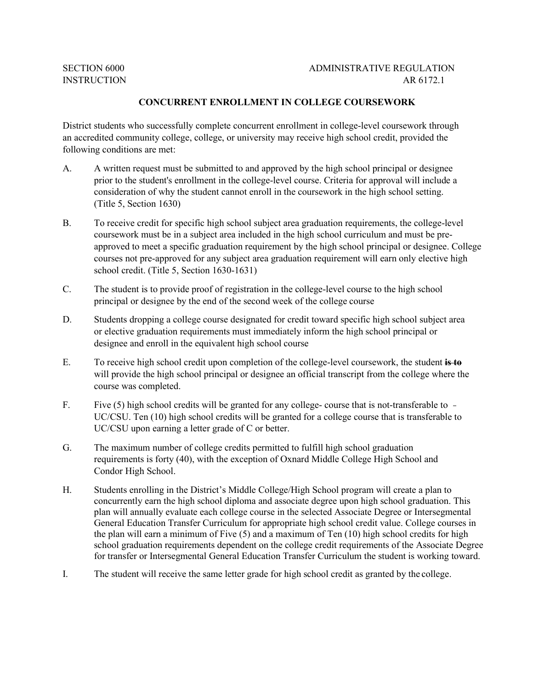**SECTION 6000** 

## ADMINISTRATIVE REGULATION INSTRUCTION AR 6172.1

## **CONCURRENT ENROLLMENT IN COLLEGE COURSEWORK**

 following conditions are met: District students who successfully complete concurrent enrollment in college-level coursework through an accredited community college, college, or university may receive high school credit, provided the

- A. A written request must be submitted to and approved by the high school principal or designee consideration of why the student cannot enroll in the coursework in the high school setting. (Title 5, Section 1630) prior to the student's enrollment in the college-level course. Criteria for approval will include a
- B. To receive credit for specific high school subject area graduation requirements, the college-level coursework must be in a subject area included in the high school curriculum and must be pre- school credit. (Title 5, Section 1630-1631) approved to meet a specific graduation requirement by the high school principal or designee. College courses not pre-approved for any subject area graduation requirement will earn only elective high
- principal or designee by the end of the second week of the college course C. The student is to provide proof of registration in the college-level course to the high school
- designee and enroll in the equivalent high school course D. Students dropping a college course designated for credit toward specific high school subject area or elective graduation requirements must immediately inform the high school principal or
- E. To receive high school credit upon completion of the college-level coursework, the student **is to**  will provide the high school principal or designee an official transcript from the college where the course was completed.
- F. Five (5) high school credits will be granted for any college- course that is not-transferable to UC/CSU. Ten (10) high school credits will be granted for a college course that is transferable to UC/CSU upon earning a letter grade of C or better.
- G. The maximum number of college credits permitted to fulfill high school graduation requirements is forty (40), with the exception of Oxnard Middle College High School and Condor High School.
- H. Students enrolling in the District's Middle College/High School program will create a plan to concurrently earn the high school diploma and associate degree upon high school graduation. This plan will annually evaluate each college course in the selected Associate Degree or Intersegmental General Education Transfer Curriculum for appropriate high school credit value. College courses in the plan will earn a minimum of Five (5) and a maximum of Ten (10) high school credits for high school graduation requirements dependent on the college credit requirements of the Associate Degree for transfer or Intersegmental General Education Transfer Curriculum the student is working toward.
- I. The student will receive the same letter grade for high school credit as granted by the college.